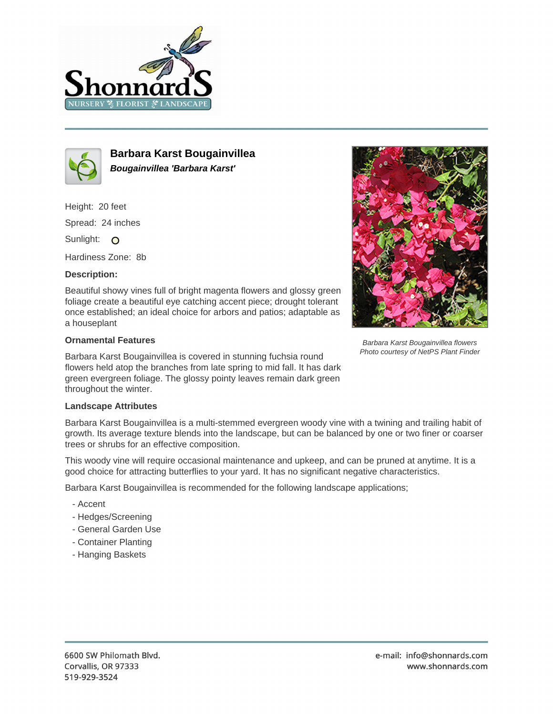



**Barbara Karst Bougainvillea Bougainvillea 'Barbara Karst'**

Height: 20 feet

Spread: 24 inches

Sunlight: O

Hardiness Zone: 8b

## **Description:**

Beautiful showy vines full of bright magenta flowers and glossy green foliage create a beautiful eye catching accent piece; drought tolerant once established; an ideal choice for arbors and patios; adaptable as a houseplant

## **Ornamental Features**

Barbara Karst Bougainvillea is covered in stunning fuchsia round flowers held atop the branches from late spring to mid fall. It has dark green evergreen foliage. The glossy pointy leaves remain dark green throughout the winter.



Barbara Karst Bougainvillea is a multi-stemmed evergreen woody vine with a twining and trailing habit of growth. Its average texture blends into the landscape, but can be balanced by one or two finer or coarser trees or shrubs for an effective composition.

This woody vine will require occasional maintenance and upkeep, and can be pruned at anytime. It is a good choice for attracting butterflies to your yard. It has no significant negative characteristics.

Barbara Karst Bougainvillea is recommended for the following landscape applications;

- Accent
- Hedges/Screening
- General Garden Use
- Container Planting
- Hanging Baskets



Barbara Karst Bougainvillea flowers Photo courtesy of NetPS Plant Finder